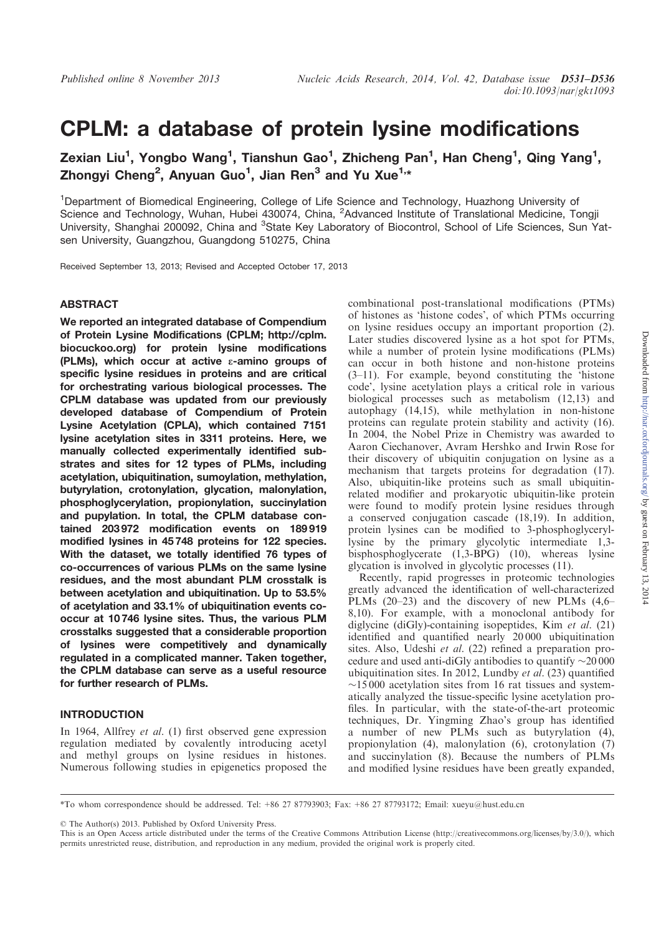# CPLM: a database of protein lysine modifications

Zexian Liu<sup>1</sup>, Yongbo Wang<sup>1</sup>, Tianshun Gao<sup>1</sup>, Zhicheng Pan<sup>1</sup>, Han Cheng<sup>1</sup>, Qing Yang<sup>1</sup>, Zhongyi Cheng<sup>2</sup>, Anyuan Guo<sup>1</sup>, Jian Ren<sup>3</sup> and Yu Xue<sup>1,\*</sup>

<sup>1</sup>Department of Biomedical Engineering, College of Life Science and Technology, Huazhong University of Science and Technology, Wuhan, Hubei 430074, China, <sup>2</sup>Advanced Institute of Translational Medicine, Tongji University, Shanghai 200092, China and <sup>3</sup>State Key Laboratory of Biocontrol, School of Life Sciences, Sun Yatsen University, Guangzhou, Guangdong 510275, China

Received September 13, 2013; Revised and Accepted October 17, 2013

### ABSTRACT

We reported an integrated database of Compendium of Protein Lysine Modifications (CPLM; http://cplm. biocuckoo.org) for protein lysine modifications (PLMs), which occur at active  $\varepsilon$ -amino groups of specific lysine residues in proteins and are critical for orchestrating various biological processes. The CPLM database was updated from our previously developed database of Compendium of Protein Lysine Acetylation (CPLA), which contained 7151 lysine acetylation sites in 3311 proteins. Here, we manually collected experimentally identified substrates and sites for 12 types of PLMs, including acetylation, ubiquitination, sumoylation, methylation, butyrylation, crotonylation, glycation, malonylation, phosphoglycerylation, propionylation, succinylation and pupylation. In total, the CPLM database contained 203 972 modification events on 189 919 modified lysines in 45 748 proteins for 122 species. With the dataset, we totally identified 76 types of co-occurrences of various PLMs on the same lysine residues, and the most abundant PLM crosstalk is between acetylation and ubiquitination. Up to 53.5% of acetylation and 33.1% of ubiquitination events cooccur at 10 746 lysine sites. Thus, the various PLM crosstalks suggested that a considerable proportion of lysines were competitively and dynamically regulated in a complicated manner. Taken together, the CPLM database can serve as a useful resource for further research of PLMs.

# INTRODUCTION

In 1964, Allfrey et al. (1) first observed gene expression regulation mediated by covalently introducing acetyl and methyl groups on lysine residues in histones. Numerous following studies in epigenetics proposed the

combinational post-translational modifications (PTMs) of histones as 'histone codes', of which PTMs occurring on lysine residues occupy an important proportion (2). Later studies discovered lysine as a hot spot for PTMs, while a number of protein lysine modifications (PLMs) can occur in both histone and non-histone proteins (3–11). For example, beyond constituting the 'histone code', lysine acetylation plays a critical role in various biological processes such as metabolism (12,13) and autophagy (14,15), while methylation in non-histone proteins can regulate protein stability and activity (16). In 2004, the Nobel Prize in Chemistry was awarded to Aaron Ciechanover, Avram Hershko and Irwin Rose for their discovery of ubiquitin conjugation on lysine as a mechanism that targets proteins for degradation (17). Also, ubiquitin-like proteins such as small ubiquitinrelated modifier and prokaryotic ubiquitin-like protein were found to modify protein lysine residues through a conserved conjugation cascade (18,19). In addition, protein lysines can be modified to 3-phosphoglyceryllysine by the primary glycolytic intermediate 1,3 bisphosphoglycerate (1,3-BPG) (10), whereas lysine glycation is involved in glycolytic processes (11).

Recently, rapid progresses in proteomic technologies greatly advanced the identification of well-characterized PLMs (20–23) and the discovery of new PLMs (4,6– 8,10). For example, with a monoclonal antibody for diglycine (diGly)-containing isopeptides, Kim et al. (21) identified and quantified nearly 20 000 ubiquitination sites. Also, Udeshi et al. (22) refined a preparation procedure and used anti-diGly antibodies to quantify  $\sim$ 20 000 ubiquitination sites. In 2012, Lundby et al. (23) quantified  $\sim$ 15000 acetylation sites from 16 rat tissues and systematically analyzed the tissue-specific lysine acetylation profiles. In particular, with the state-of-the-art proteomic techniques, Dr. Yingming Zhao's group has identified a number of new PLMs such as butyrylation (4), propionylation (4), malonylation (6), crotonylation (7) and succinylation (8). Because the numbers of PLMs and modified lysine residues have been greatly expanded,

© The Author(s) 2013. Published by Oxford University Press.

<sup>\*</sup>To whom correspondence should be addressed. Tel: +86 27 87793903; Fax: +86 27 87793172; Email: xueyu@hust.edu.cn

This is an Open Access article distributed under the terms of the Creative Commons Attribution License (http://creativecommons.org/licenses/by/3.0/), which permits unrestricted reuse, distribution, and reproduction in any medium, provided the original work is properly cited.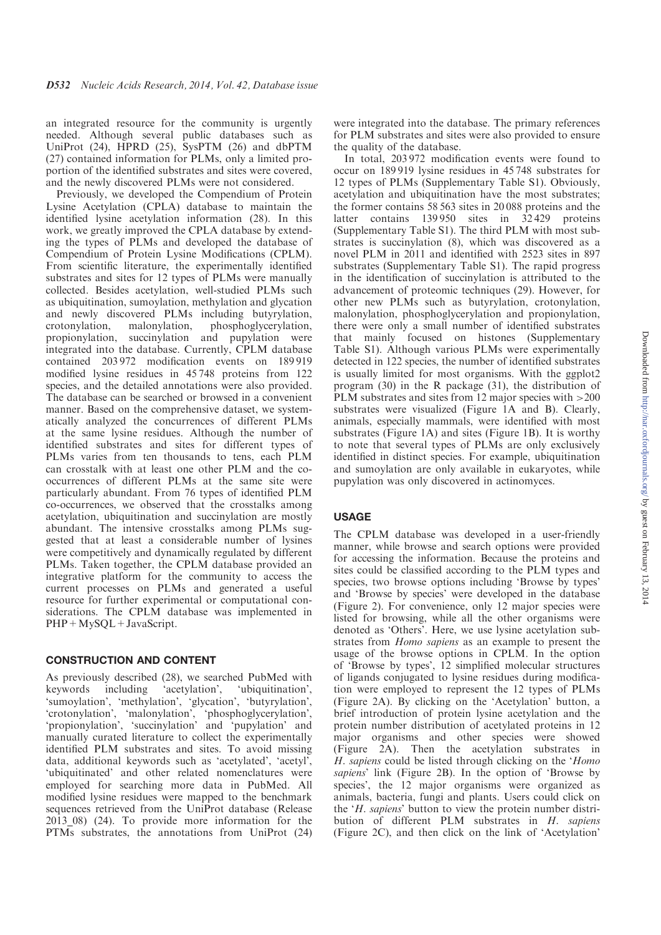an integrated resource for the community is urgently needed. Although several public databases such as UniProt (24), HPRD (25), SysPTM (26) and dbPTM (27) contained information for PLMs, only a limited proportion of the identified substrates and sites were covered, and the newly discovered PLMs were not considered.

Previously, we developed the Compendium of Protein Lysine Acetylation (CPLA) database to maintain the identified lysine acetylation information (28). In this work, we greatly improved the CPLA database by extending the types of PLMs and developed the database of Compendium of Protein Lysine Modifications (CPLM). From scientific literature, the experimentally identified substrates and sites for 12 types of PLMs were manually collected. Besides acetylation, well-studied PLMs such as ubiquitination, sumoylation, methylation and glycation and newly discovered PLMs including butyrylation, crotonylation, malonylation, phosphoglycerylation, propionylation, succinylation and pupylation were integrated into the database. Currently, CPLM database contained 203 972 modification events on 189 919 modified lysine residues in 45 748 proteins from 122 species, and the detailed annotations were also provided. The database can be searched or browsed in a convenient manner. Based on the comprehensive dataset, we systematically analyzed the concurrences of different PLMs at the same lysine residues. Although the number of identified substrates and sites for different types of PLMs varies from ten thousands to tens, each PLM can crosstalk with at least one other PLM and the cooccurrences of different PLMs at the same site were particularly abundant. From 76 types of identified PLM co-occurrences, we observed that the crosstalks among acetylation, ubiquitination and succinylation are mostly abundant. The intensive crosstalks among PLMs suggested that at least a considerable number of lysines were competitively and dynamically regulated by different PLMs. Taken together, the CPLM database provided an integrative platform for the community to access the current processes on PLMs and generated a useful resource for further experimental or computational considerations. The CPLM database was implemented in PHP+MySQL+JavaScript.

## CONSTRUCTION AND CONTENT

As previously described (28), we searched PubMed with keywords including 'acetylation', 'ubiquitination'. keywords including 'acetylation', 'ubiquitination', 'sumoylation', 'methylation', 'glycation', 'butyrylation', 'crotonylation', 'malonylation', 'phosphoglycerylation', 'propionylation', 'succinylation' and 'pupylation' and manually curated literature to collect the experimentally identified PLM substrates and sites. To avoid missing data, additional keywords such as 'acetylated', 'acetyl', 'ubiquitinated' and other related nomenclatures were employed for searching more data in PubMed. All modified lysine residues were mapped to the benchmark sequences retrieved from the UniProt database (Release  $2013$  08) (24). To provide more information for the PTMs substrates, the annotations from UniProt (24)

were integrated into the database. The primary references for PLM substrates and sites were also provided to ensure the quality of the database.

In total, 203 972 modification events were found to occur on 189 919 lysine residues in 45 748 substrates for 12 types of PLMs (Supplementary Table S1). Obviously, acetylation and ubiquitination have the most substrates; the former contains 58 563 sites in 20 088 proteins and the latter contains 139950 sites in  $32429$  proteins (Supplementary Table S1). The third PLM with most substrates is succinylation (8), which was discovered as a novel PLM in 2011 and identified with 2523 sites in 897 substrates (Supplementary Table S1). The rapid progress in the identification of succinylation is attributed to the advancement of proteomic techniques (29). However, for other new PLMs such as butyrylation, crotonylation, malonylation, phosphoglycerylation and propionylation, there were only a small number of identified substrates that mainly focused on histones (Supplementary Table S1). Although various PLMs were experimentally detected in 122 species, the number of identified substrates is usually limited for most organisms. With the ggplot2 program (30) in the R package (31), the distribution of PLM substrates and sites from 12 major species with  $>200$ substrates were visualized (Figure 1A and B). Clearly, animals, especially mammals, were identified with most substrates (Figure 1A) and sites (Figure 1B). It is worthy to note that several types of PLMs are only exclusively identified in distinct species. For example, ubiquitination and sumoylation are only available in eukaryotes, while pupylation was only discovered in actinomyces.

## USAGE

The CPLM database was developed in a user-friendly manner, while browse and search options were provided for accessing the information. Because the proteins and sites could be classified according to the PLM types and species, two browse options including 'Browse by types' and 'Browse by species' were developed in the database (Figure 2). For convenience, only 12 major species were listed for browsing, while all the other organisms were denoted as 'Others'. Here, we use lysine acetylation substrates from Homo sapiens as an example to present the usage of the browse options in CPLM. In the option of 'Browse by types', 12 simplified molecular structures of ligands conjugated to lysine residues during modification were employed to represent the 12 types of PLMs (Figure 2A). By clicking on the 'Acetylation' button, a brief introduction of protein lysine acetylation and the protein number distribution of acetylated proteins in 12 major organisms and other species were showed (Figure 2A). Then the acetylation substrates in H. sapiens could be listed through clicking on the 'Homo sapiens' link (Figure 2B). In the option of 'Browse by species', the 12 major organisms were organized as animals, bacteria, fungi and plants. Users could click on the 'H. sapiens' button to view the protein number distribution of different PLM substrates in H. sapiens (Figure 2C), and then click on the link of 'Acetylation'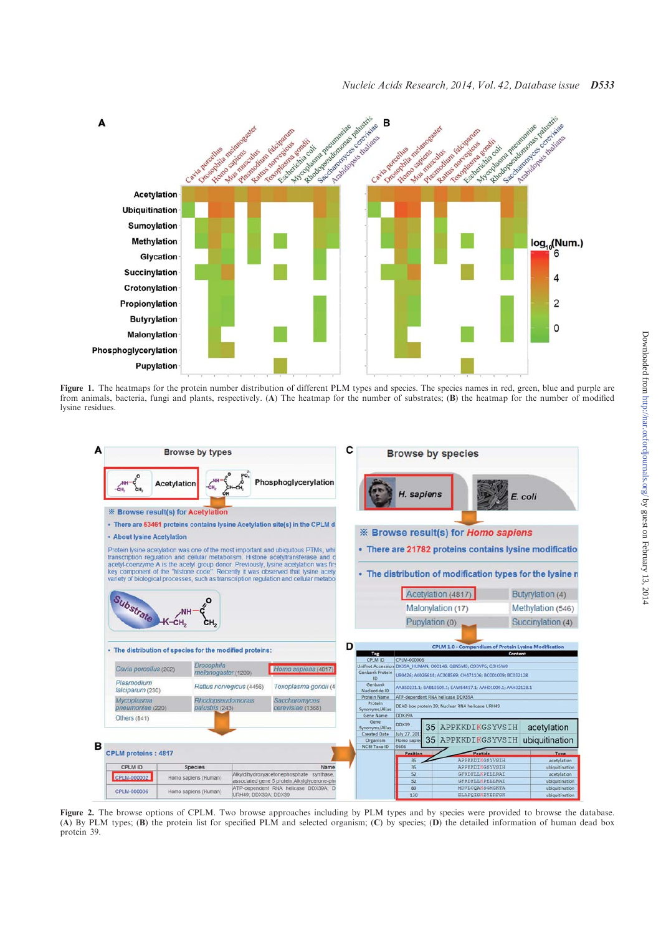

Figure 1. The heatmaps for the protein number distribution of different PLM types and species. The species names in red, green, blue and purple are from animals, bacteria, fungi and plants, respectively. (A) The heatmap for the number of substrates; (B) the heatmap for the number of modified lysine residues.



Figure 2. The browse options of CPLM. Two browse approaches including by PLM types and by species were provided to browse the database. (A) By PLM types; (B) the protein list for specified PLM and selected organism; (C) by species; (D) the detailed information of human dead box protein 39.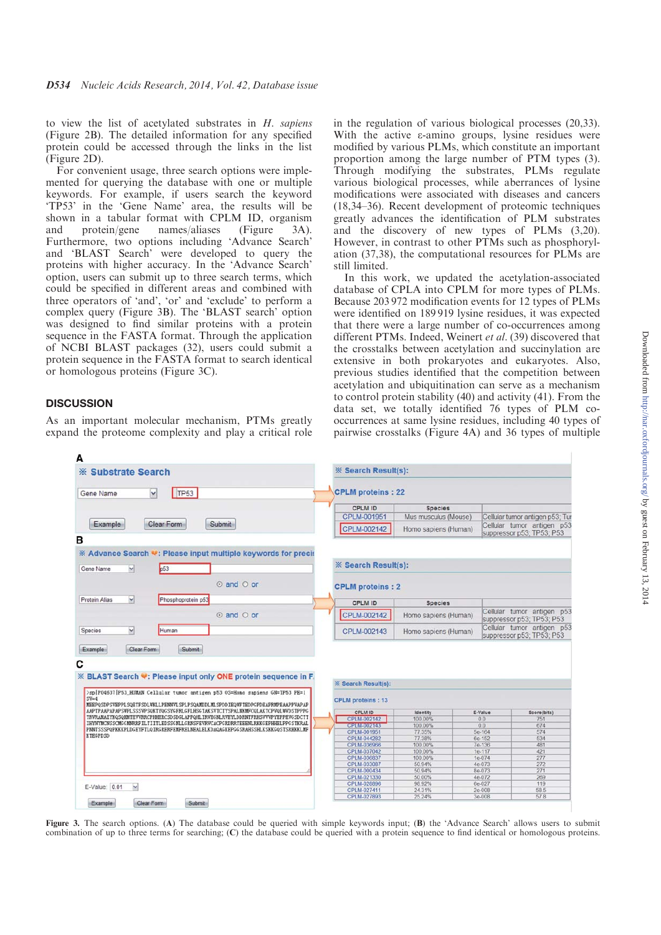to view the list of acetylated substrates in  $H$ . sapiens (Figure 2B). The detailed information for any specified protein could be accessed through the links in the list (Figure 2D).

For convenient usage, three search options were implemented for querying the database with one or multiple keywords. For example, if users search the keyword 'TP53' in the 'Gene Name' area, the results will be shown in a tabular format with CPLM ID, organism and protein/gene names/aliases (Figure 3A). Furthermore, two options including 'Advance Search' and 'BLAST Search' were developed to query the proteins with higher accuracy. In the 'Advance Search' option, users can submit up to three search terms, which could be specified in different areas and combined with three operators of 'and', 'or' and 'exclude' to perform a complex query (Figure 3B). The 'BLAST search' option was designed to find similar proteins with a protein sequence in the FASTA format. Through the application of NCBI BLAST packages (32), users could submit a protein sequence in the FASTA format to search identical or homologous proteins (Figure 3C).

## **DISCUSSION**

As an important molecular mechanism, PTMs greatly expand the proteome complexity and play a critical role in the regulation of various biological processes (20,33). With the active  $\varepsilon$ -amino groups, lysine residues were modified by various PLMs, which constitute an important proportion among the large number of PTM types (3). Through modifying the substrates, PLMs regulate various biological processes, while aberrances of lysine modifications were associated with diseases and cancers (18,34–36). Recent development of proteomic techniques greatly advances the identification of PLM substrates and the discovery of new types of PLMs (3,20). However, in contrast to other PTMs such as phosphorylation (37,38), the computational resources for PLMs are still limited.

In this work, we updated the acetylation-associated database of CPLA into CPLM for more types of PLMs. Because 203 972 modification events for 12 types of PLMs were identified on 189 919 lysine residues, it was expected that there were a large number of co-occurrences among different PTMs. Indeed, Weinert et al. (39) discovered that the crosstalks between acetylation and succinylation are extensive in both prokaryotes and eukaryotes. Also, previous studies identified that the competition between acetylation and ubiquitination can serve as a mechanism to control protein stability (40) and activity (41). From the data set, we totally identified 76 types of PLM cooccurrences at same lysine residues, including 40 types of pairwise crosstalks (Figure 4A) and 36 types of multiple



Figure 3. The search options. (A) The database could be queried with simple keywords input: (B) the 'Advance Search' allows users to submit combination of up to three terms for searching; (C) the database could be queried with a protein sequence to find identical or homologous proteins.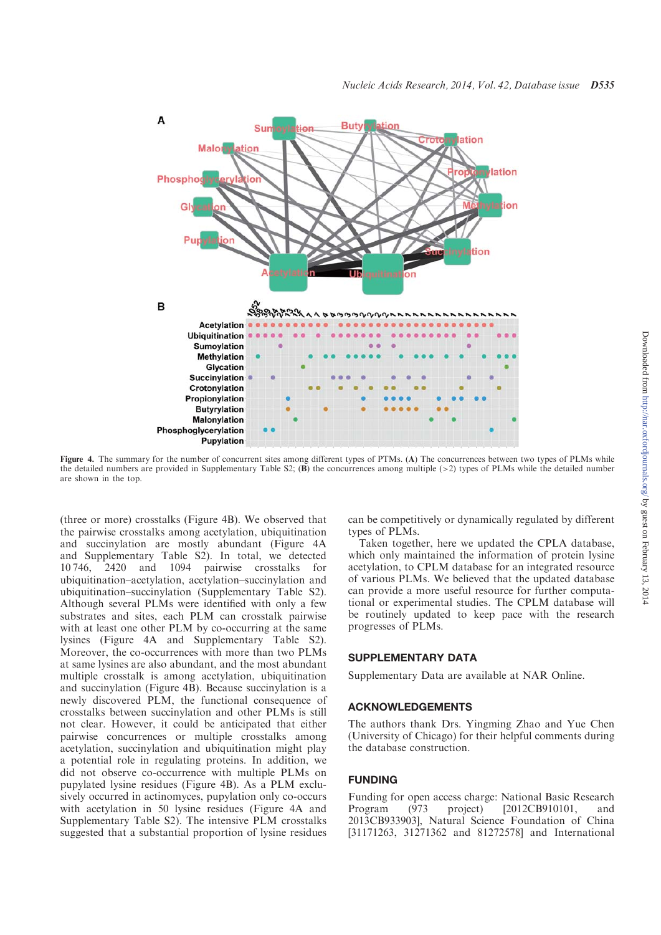

Figure 4. The summary for the number of concurrent sites among different types of PTMs. (A) The concurrences between two types of PLMs while the detailed numbers are provided in Supplementary Table S2;  $(B)$  the concurrences among multiple  $(>2)$  types of PLMs while the detailed number are shown in the top.

(three or more) crosstalks (Figure 4B). We observed that the pairwise crosstalks among acetylation, ubiquitination and succinylation are mostly abundant (Figure 4A and Supplementary Table S2). In total, we detected 10 746, 2420 and 1094 pairwise crosstalks for ubiquitination–acetylation, acetylation–succinylation and ubiquitination–succinylation (Supplementary Table S2). Although several PLMs were identified with only a few substrates and sites, each PLM can crosstalk pairwise with at least one other PLM by co-occurring at the same lysines (Figure 4A and Supplementary Table S2). Moreover, the co-occurrences with more than two PLMs at same lysines are also abundant, and the most abundant multiple crosstalk is among acetylation, ubiquitination and succinylation (Figure 4B). Because succinylation is a newly discovered PLM, the functional consequence of crosstalks between succinylation and other PLMs is still not clear. However, it could be anticipated that either pairwise concurrences or multiple crosstalks among acetylation, succinylation and ubiquitination might play a potential role in regulating proteins. In addition, we did not observe co-occurrence with multiple PLMs on pupylated lysine residues (Figure 4B). As a PLM exclusively occurred in actinomyces, pupylation only co-occurs with acetylation in 50 lysine residues (Figure 4A and Supplementary Table S2). The intensive PLM crosstalks suggested that a substantial proportion of lysine residues can be competitively or dynamically regulated by different types of PLMs.

Taken together, here we updated the CPLA database, which only maintained the information of protein lysine acetylation, to CPLM database for an integrated resource of various PLMs. We believed that the updated database can provide a more useful resource for further computational or experimental studies. The CPLM database will be routinely updated to keep pace with the research progresses of PLMs.

## SUPPLEMENTARY DATA

Supplementary Data are available at NAR Online.

#### ACKNOWLEDGEMENTS

The authors thank Drs. Yingming Zhao and Yue Chen (University of Chicago) for their helpful comments during the database construction.

#### FUNDING

Funding for open access charge: National Basic Research Program (973 project) [2012CB910101, and 2013CB933903], Natural Science Foundation of China [31171263, 31271362 and 81272578] and International